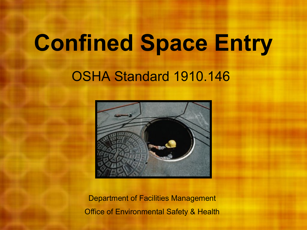# **Confined Space Entry**

#### OSHA Standard 1910.146



Department of Facilities Management Office of Environmental Safety & Health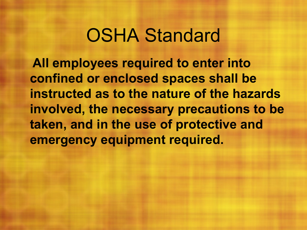#### OSHA Standard

**All employees required to enter into confined or enclosed spaces shall be instructed as to the nature of the hazards involved, the necessary precautions to be taken, and in the use of protective and emergency equipment required.**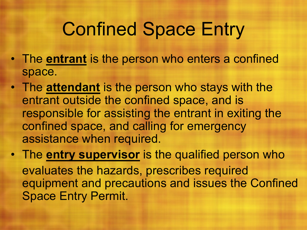#### Confined Space Entry

- The **entrant** is the person who enters a confined space.
- The **attendant** is the person who stays with the entrant outside the confined space, and is responsible for assisting the entrant in exiting the confined space, and calling for emergency assistance when required.
- The **entry supervisor** is the qualified person who evaluates the hazards, prescribes required equipment and precautions and issues the Confined Space Entry Permit.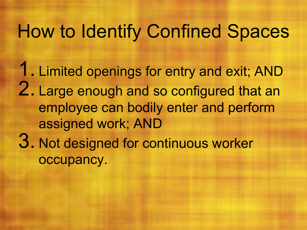## How to Identify Confined Spaces

1. Limited openings for entry and exit; AND 2. Large enough and so configured that an employee can bodily enter and perform assigned work; AND 3. Not designed for continuous worker occupancy.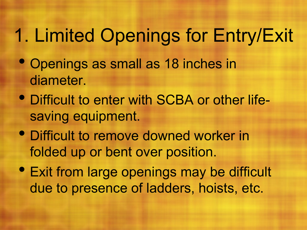# 1. Limited Openings for Entry/Exit

- Openings as small as 18 inches in diameter.
- Difficult to enter with SCBA or other lifesaving equipment.
- Difficult to remove downed worker in folded up or bent over position.
- Exit from large openings may be difficult due to presence of ladders, hoists, etc.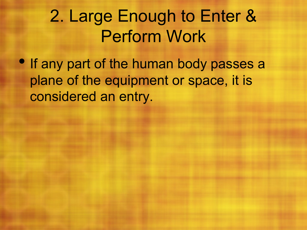#### 2. Large Enough to Enter & Perform Work

• If any part of the human body passes a plane of the equipment or space, it is considered an entry.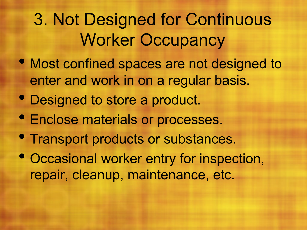#### 3. Not Designed for Continuous Worker Occupancy

- Most confined spaces are not designed to enter and work in on a regular basis.
- Designed to store a product.
- Enclose materials or processes.
- Transport products or substances.
- Occasional worker entry for inspection, repair, cleanup, maintenance, etc.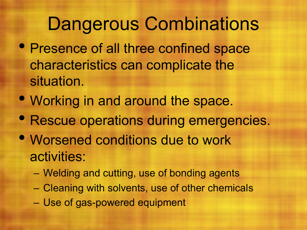#### Dangerous Combinations

- Presence of all three confined space characteristics can complicate the situation.
- Working in and around the space.
- Rescue operations during emergencies.
- Worsened conditions due to work activities:
	- Welding and cutting, use of bonding agents
	- Cleaning with solvents, use of other chemicals
	- Use of gas-powered equipment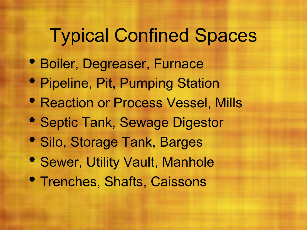## Typical Confined Spaces

- Boiler, Degreaser, Furnace
- Pipeline, Pit, Pumping Station
- **Reaction or Process Vessel, Mills**
- Septic Tank, Sewage Digestor
- Silo, Storage Tank, Barges
- Sewer, Utility Vault, Manhole
- Trenches, Shafts, Caissons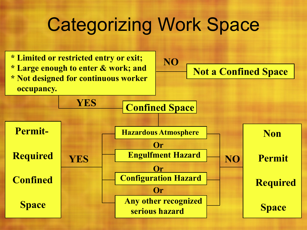#### Categorizing Work Space

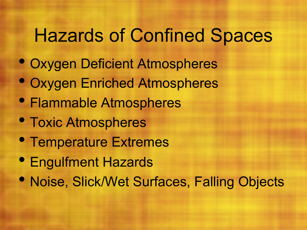### Hazards of Confined Spaces

- Oxygen Deficient Atmospheres
- Oxygen Enriched Atmospheres
- Flammable Atmospheres
- Toxic Atmospheres
- Temperature Extremes
- Engulfment Hazards
- Noise, Slick/Wet Surfaces, Falling Objects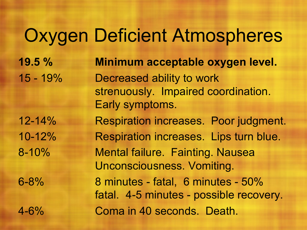#### Oxygen Deficient Atmospheres

**19.5 % Minimum acceptable oxygen level.** 15 - 19% Decreased ability to work strenuously. Impaired coordination. Early symptoms. 12-14% Respiration increases. Poor judgment. 10-12% Respiration increases. Lips turn blue. 8-10% Mental failure. Fainting. Nausea Unconsciousness. Vomiting. 6-8% 8 minutes - fatal, 6 minutes - 50% fatal. 4-5 minutes - possible recovery. 4-6% Coma in 40 seconds. Death.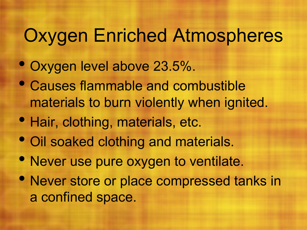# Oxygen Enriched Atmospheres

- Oxygen level above 23.5%.
- Causes flammable and combustible materials to burn violently when ignited.
- Hair, clothing, materials, etc.
- Oil soaked clothing and materials.
- Never use pure oxygen to ventilate.
- Never store or place compressed tanks in a confined space.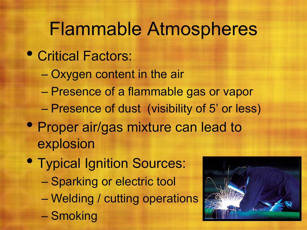#### Flammable Atmospheres

- Critical Factors:
	- Oxygen content in the air
	- Presence of a flammable gas or vapor
	- Presence of dust (visibility of 5' or less)
- Proper air/gas mixture can lead to explosion
- Typical Ignition Sources:
	- Sparking or electric tool
	- Welding / cutting operations
	- Smoking

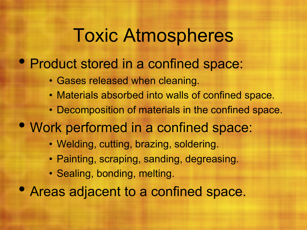#### Toxic Atmospheres

#### • Product stored in a confined space:

- Gases released when cleaning.
- Materials absorbed into walls of confined space.
- Decomposition of materials in the confined space.
- Work performed in a confined space:
	- Welding, cutting, brazing, soldering.
	- Painting, scraping, sanding, degreasing.
	- Sealing, bonding, melting.
- Areas adjacent to a confined space.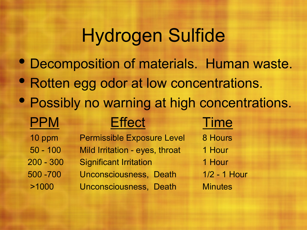#### Hydrogen Sulfide

- Decomposition of materials. Human waste.
- Rotten egg odor at low concentrations.
- Possibly no warning at high concentrations.

#### PPM Effect Time

- 10 ppm Permissible Exposure Level 8 Hours 50 - 100 Mild Irritation - eyes, throat 1 Hour
	-
- 200 300 Significant Irritation 1 Hour
- 500 -700 Unconsciousness, Death 1/2 1 Hour
- >1000 Unconsciousness, Death Minutes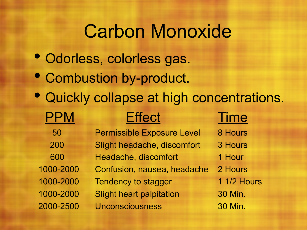#### Carbon Monoxide

- Odorless, colorless gas.
- Combustion by-product.
- Quickly collapse at high concentrations.

| <b>PPM</b> | <b>Effect</b>                     | <b>Time</b>        |
|------------|-----------------------------------|--------------------|
| 50         | <b>Permissible Exposure Level</b> | 8 Hours            |
| 200        | Slight headache, discomfort       | 3 Hours            |
| 600        | Headache, discomfort              | 1 Hour             |
| 1000-2000  | Confusion, nausea, headache       | 2 Hours            |
| 1000-2000  | <b>Tendency to stagger</b>        | <b>1 1/2 Hours</b> |
| 1000-2000  | <b>Slight heart palpitation</b>   | 30 Min.            |
| 2000-2500  | <b>Unconsciousness</b>            | 30 Min.            |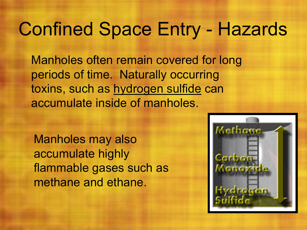#### Confined Space Entry - Hazards

Manholes often remain covered for long periods of time. Naturally occurring toxins, such as hydrogen sulfide can accumulate inside of manholes.

Manholes may also accumulate highly flammable gases such as methane and ethane.

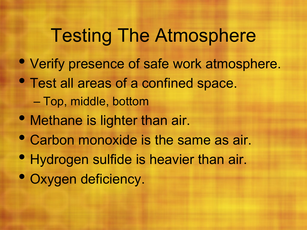## Testing The Atmosphere

- Verify presence of safe work atmosphere.
- Test all areas of a confined space. – Top, middle, bottom
- Methane is lighter than air.
- Carbon monoxide is the same as air.
- Hydrogen sulfide is heavier than air.
- Oxygen deficiency.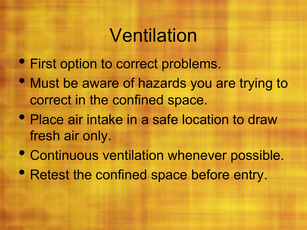#### Ventilation

- First option to correct problems.
- Must be aware of hazards you are trying to correct in the confined space.
- Place air intake in a safe location to draw fresh air only.
- Continuous ventilation whenever possible.
- Retest the confined space before entry.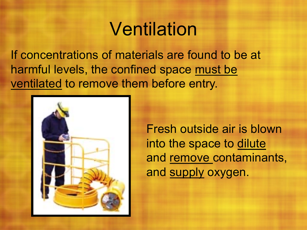#### Ventilation

If concentrations of materials are found to be at harmful levels, the confined space must be ventilated to remove them before entry.



Fresh outside air is blown into the space to dilute and remove contaminants, and supply oxygen.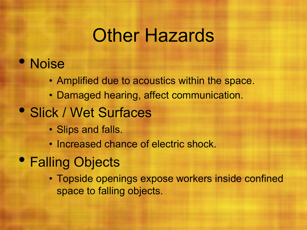#### Other Hazards

#### • Noise

- Amplified due to acoustics within the space.
- Damaged hearing, affect communication.

#### • Slick / Wet Surfaces

- Slips and falls.
- Increased chance of electric shock.
- Falling Objects
	- Topside openings expose workers inside confined space to falling objects.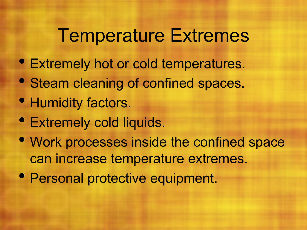#### Temperature Extremes

- Extremely hot or cold temperatures.
- Steam cleaning of confined spaces.
- Humidity factors.
- Extremely cold liquids.
- Work processes inside the confined space can increase temperature extremes.
- Personal protective equipment.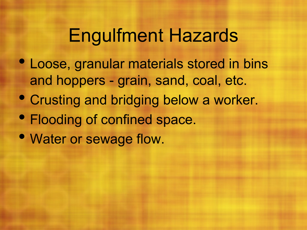#### Engulfment Hazards

- Loose, granular materials stored in bins and hoppers - grain, sand, coal, etc.
- Crusting and bridging below a worker.
- Flooding of confined space.
- Water or sewage flow.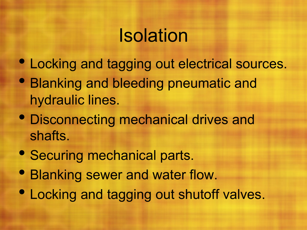## Isolation

- Locking and tagging out electrical sources.
- Blanking and bleeding pneumatic and hydraulic lines.
- Disconnecting mechanical drives and shafts.
- Securing mechanical parts.
- Blanking sewer and water flow.
- Locking and tagging out shutoff valves.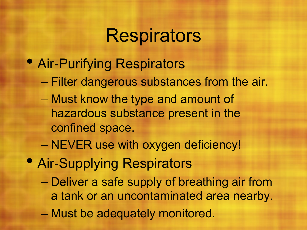#### **Respirators**

- Air-Purifying Respirators
	- Filter dangerous substances from the air.
	- Must know the type and amount of hazardous substance present in the confined space.
	- NEVER use with oxygen deficiency!
- Air-Supplying Respirators
	- Deliver a safe supply of breathing air from a tank or an uncontaminated area nearby.
	- Must be adequately monitored.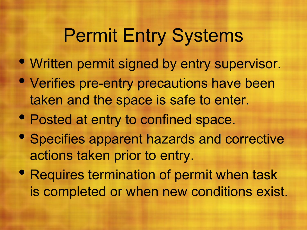## Permit Entry Systems

- Written permit signed by entry supervisor.
- Verifies pre-entry precautions have been taken and the space is safe to enter.
- Posted at entry to confined space.
- Specifies apparent hazards and corrective actions taken prior to entry.
- Requires termination of permit when task is completed or when new conditions exist.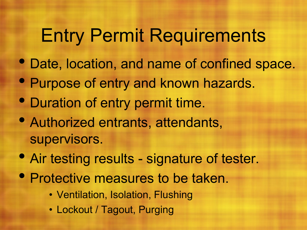# Entry Permit Requirements

- Date, location, and name of confined space.
- Purpose of entry and known hazards.
- Duration of entry permit time.
- Authorized entrants, attendants, supervisors.
- Air testing results signature of tester.
- Protective measures to be taken.
	- Ventilation, Isolation, Flushing
	- Lockout / Tagout, Purging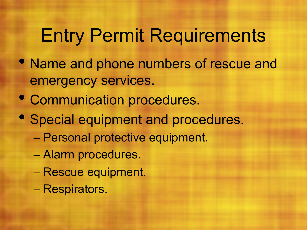# Entry Permit Requirements

- Name and phone numbers of rescue and emergency services.
- Communication procedures.
- Special equipment and procedures.
	- Personal protective equipment.
	- Alarm procedures.
	- Rescue equipment.
	- Respirators.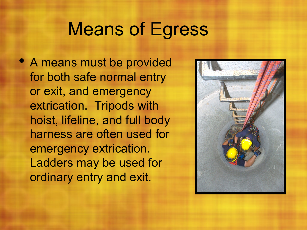#### Means of Egress

• A means must be provided for both safe normal entry or exit, and emergency extrication. Tripods with hoist, lifeline, and full body harness are often used for emergency extrication. Ladders may be used for ordinary entry and exit.

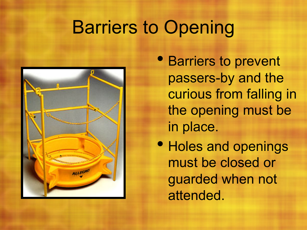# Barriers to Opening



• Barriers to prevent passers-by and the curious from falling in the opening must be in place.

• Holes and openings must be closed or guarded when not attended.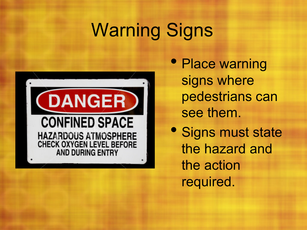# Warning Signs



• Place warning signs where pedestrians can see them.

• Signs must state the hazard and the action required.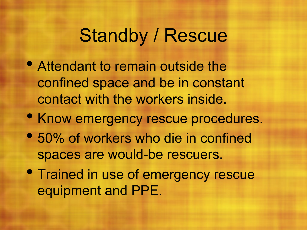#### Standby / Rescue

- Attendant to remain outside the confined space and be in constant contact with the workers inside.
- Know emergency rescue procedures.
- 50% of workers who die in confined spaces are would-be rescuers.
- **Trained in use of emergency rescue** equipment and PPE.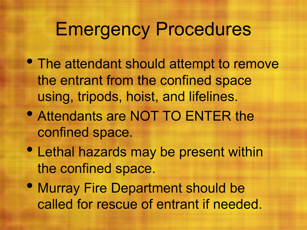#### Emergency Procedures

- The attendant should attempt to remove the entrant from the confined space using, tripods, hoist, and lifelines.
- Attendants are NOT TO ENTER the confined space.
- Lethal hazards may be present within the confined space.
- Murray Fire Department should be called for rescue of entrant if needed.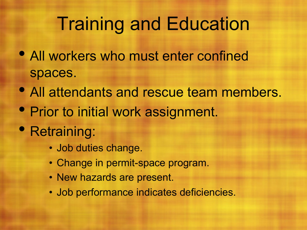#### Training and Education

- All workers who must enter confined spaces.
- All attendants and rescue team members.
- Prior to initial work assignment.
- Retraining:
	- Job duties change.
	- Change in permit-space program.
	- New hazards are present.
	- Job performance indicates deficiencies.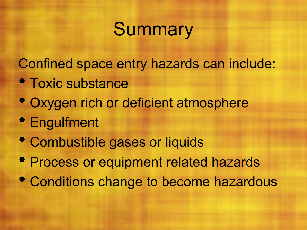# **Summary**

Confined space entry hazards can include:

- Toxic substance
- Oxygen rich or deficient atmosphere
- Engulfment
- Combustible gases or liquids
- Process or equipment related hazards
- Conditions change to become hazardous